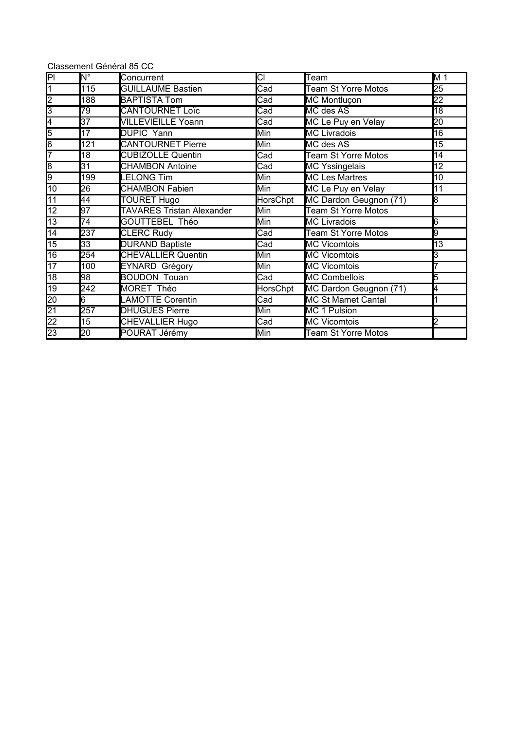|                                    | Classement Général 85 CC      |                                  |                            |                            |                 |
|------------------------------------|-------------------------------|----------------------------------|----------------------------|----------------------------|-----------------|
| $\overline{\mathsf{PI}}$           | $\overline{\mathsf{N}^\circ}$ | Concurrent                       | СI                         | Team                       | M 1             |
| $\overline{1}$                     | 115                           | <b>GUILLAUME Bastien</b>         | Cad                        | <b>Team St Yorre Motos</b> | 25              |
| $\frac{2}{3}$                      | 188                           | <b>BAPTISTA Tom</b>              | $\overline{\text{Cad}}$    | <b>MC Montluçon</b>        | 22              |
|                                    | $\overline{79}$               | <b>CANTOURNET Loïc</b>           | $\overline{\text{Cad}}$    | MC des AS                  | $\overline{18}$ |
| 4                                  | $\overline{37}$               | <b>VILLEVIEILLE Yoann</b>        | Cad                        | MC Le Puy en Velay         | $\overline{20}$ |
| 5                                  | 17                            | <b>DUPIC Yann</b>                | Min                        | <b>MC Livradois</b>        | $\overline{16}$ |
| $\frac{6}{7}$                      | 121                           | <b>CANTOURNET Pierre</b>         | Min                        | MC des AS                  | 15              |
|                                    | 18                            | <b>CUBIZOLLE Quentin</b>         | Cad                        | <b>Team St Yorre Motos</b> | 14              |
| $\frac{8}{9}$                      | 31                            | <b>CHAMBON Antoine</b>           | Cad                        | <b>MC Yssingelais</b>      | 12              |
|                                    | 199                           | <b>LELONG Tim</b>                | Min                        | <b>MC Les Martres</b>      | 10              |
| 10                                 | 26                            | <b>CHAMBON Fabien</b>            | Min                        | MC Le Puy en Velay         | 11              |
| $\overline{11}$                    | 44                            | <b>TOURET Hugo</b>               | <b>HorsChpt</b>            | MC Dardon Geugnon (71)     | 8               |
| $\overline{12}$                    | 97                            | <b>TAVARES Tristan Alexander</b> | Min                        | <b>Team St Yorre Motos</b> |                 |
| $\overline{13}$                    | $\overline{74}$               | GOUTTEBEL Théo                   | Min                        | <b>MC Livradois</b>        | 6               |
| $\overline{14}$                    | 237                           | <b>CLERC Rudy</b>                | Cad                        | <b>Team St Yorre Motos</b> | g               |
| 15                                 | $\overline{33}$               | <b>DURAND Baptiste</b>           | $\overline{\mathsf{C}}$ ad | <b>MC Vicomtois</b>        | $\overline{13}$ |
| 16                                 | 254                           | <b>CHEVALLIER Quentin</b>        | Min                        | <b>MC Vicomtois</b>        | З               |
| 17                                 | 100                           | EYNARD Grégory                   | Min                        | <b>MC Vicomtois</b>        |                 |
| $\overline{18}$                    | 98                            | <b>BOUDON Touan</b>              | $\overline{\text{Cad}}$    | <b>MC Combellois</b>       | 5               |
| 19                                 | 242                           | MORET Théo                       | HorsChpt                   | MC Dardon Geugnon (71)     | 4               |
|                                    | 6                             | <b>LAMOTTE Corentin</b>          | Cad                        | <b>MC St Mamet Cantal</b>  |                 |
| $\frac{20}{22}$<br>$\frac{21}{23}$ | 257                           | <b>DHUGUES Pierre</b>            | Min                        | <b>MC 1 Pulsion</b>        |                 |
|                                    | $\overline{15}$               | <b>CHEVALLIER Hugo</b>           | Cad                        | <b>MC Vicomtois</b>        | $\overline{2}$  |
|                                    | $\overline{20}$               | POURAT Jérémy                    | Min                        | <b>Team St Yorre Motos</b> |                 |